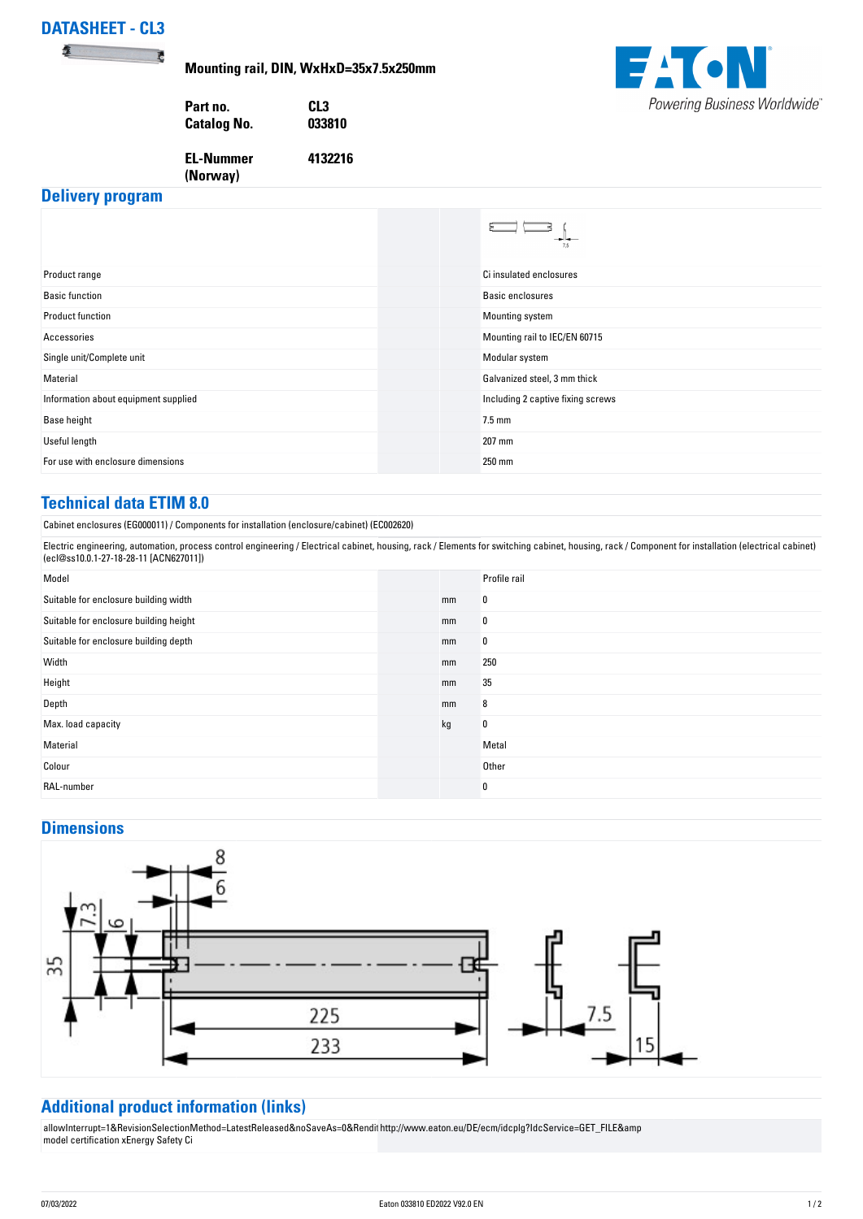# **DATASHEET - CL3**

表

**Mounting rail, DIN, WxHxD=35x7.5x250mm**

**4132216**

**EAGN** Powering Business Worldwide®

**Part no. CL3 Catalog No.** 

**EL-Nummer (Norway)** 

### **Delivery program**

|                                      | ---<br>7.5                        |
|--------------------------------------|-----------------------------------|
| Product range                        | Ci insulated enclosures           |
| <b>Basic function</b>                | <b>Basic enclosures</b>           |
| <b>Product function</b>              | Mounting system                   |
| Accessories                          | Mounting rail to IEC/EN 60715     |
| Single unit/Complete unit            | Modular system                    |
| Material                             | Galvanized steel, 3 mm thick      |
| Information about equipment supplied | Including 2 captive fixing screws |
| <b>Base height</b>                   | $7.5$ mm                          |
| Useful length                        | 207 mm                            |
| For use with enclosure dimensions    | 250 mm                            |

## **Technical data ETIM 8.0**

Cabinet enclosures (EG000011) / Components for installation (enclosure/cabinet) (EC002620)

Electric engineering, automation, process control engineering / Electrical cabinet, housing, rack / Elements for switching cabinet, housing, rack / Component for installation (electrical cabinet) (ecl@ss10.0.1-27-18-28-11 [ACN627011])

| Model                                  |    | Profile rail |
|----------------------------------------|----|--------------|
| Suitable for enclosure building width  | mm | 0            |
| Suitable for enclosure building height | mm | 0            |
| Suitable for enclosure building depth  | mm | 0            |
| Width                                  | mm | 250          |
| Height                                 | mm | 35           |
| Depth                                  | mm | 8            |
| Max. load capacity                     | kg | 0            |
| Material                               |    | Metal        |
| Colour                                 |    | Other        |
| RAL-number                             |    | 0            |

### **Dimensions**



## **Additional product information (links)**

allowInterrupt=1&RevisionSelectionMethod=LatestReleased&noSaveAs=0&Rendit [http://www.eaton.eu/DE/ecm/idcplg?IdcService=GET\\_FILE&amp](http://www.eaton.eu/DE/ecm/idcplg?IdcService=GET_FILE&) [model certification xEnergy Safety Ci](http://www.eaton.eu/DE/ecm/idcplg?IdcService=GET_FILE&)